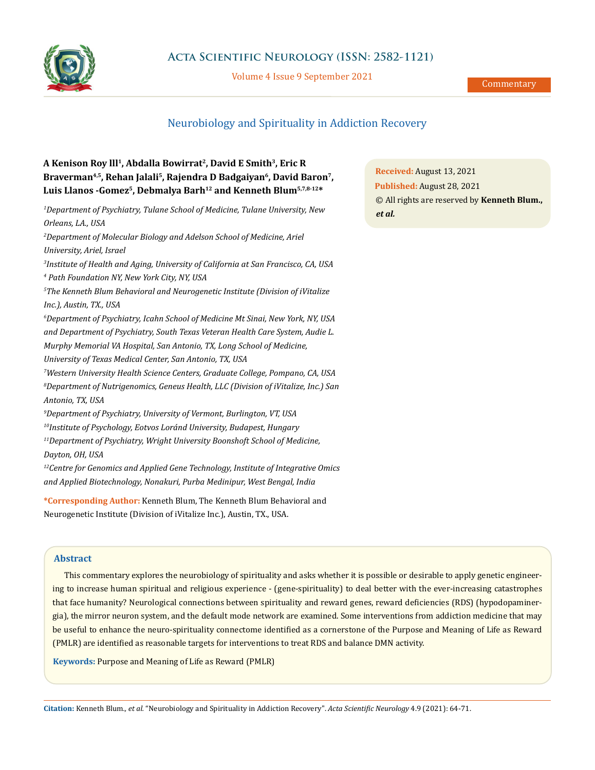

# **Acta Scientific Neurology (ISSN: 2582-1121)**

Volume 4 Issue 9 September 2021

# Neurobiology and Spirituality in Addiction Recovery

# **A Kenison Roy lll1, Abdalla Bowirrat2, David E Smith3, Eric R**  Braverman<sup>4,5</sup>, Rehan Jalali<sup>5</sup>, Rajendra D Badgaiyan<sup>6</sup>, David Baron<sup>7</sup>, Luis Llanos -Gomez<sup>5</sup>, Debmalya Barh<sup>12</sup> and Kenneth Blum<sup>5,7,8-12\*</sup>

*1 Department of Psychiatry, Tulane School of Medicine, Tulane University, New Orleans, LA., USA 2 Department of Molecular Biology and Adelson School of Medicine, Ariel University, Ariel, Israel 3 Institute of Health and Aging, University of California at San Francisco, CA, USA 4 Path Foundation NY, New York City, NY, USA 5 The Kenneth Blum Behavioral and Neurogenetic Institute (Division of iVitalize Inc.), Austin, TX., USA 6 Department of Psychiatry, Icahn School of Medicine Mt Sinai, New York, NY, USA and Department of Psychiatry, South Texas Veteran Health Care System, Audie L. Murphy Memorial VA Hospital, San Antonio, TX, Long School of Medicine, University of Texas Medical Center, San Antonio, TX, USA 7 Western University Health Science Centers, Graduate College, Pompano, CA, USA 8 Department of Nutrigenomics, Geneus Health, LLC (Division of iVitalize, Inc.) San Antonio, TX, USA 9 Department of Psychiatry, University of Vermont, Burlington, VT, USA 10Institute of Psychology, Eotvos Loránd University, Budapest, Hungary 11Department of Psychiatry, Wright University Boonshoft School of Medicine, Dayton, OH, USA 12Centre for Genomics and Applied Gene Technology, Institute of Integrative Omics and Applied Biotechnology, Nonakuri, Purba Medinipur, West Bengal, India*

**\*Corresponding Author:** Kenneth Blum, The Kenneth Blum Behavioral and Neurogenetic Institute (Division of iVitalize Inc.), Austin, TX., USA.

# **Abstract**

This commentary explores the neurobiology of spirituality and asks whether it is possible or desirable to apply genetic engineering to increase human spiritual and religious experience - (gene-spirituality) to deal better with the ever-increasing catastrophes that face humanity? Neurological connections between spirituality and reward genes, reward deficiencies (RDS) (hypodopaminergia), the mirror neuron system, and the default mode network are examined. Some interventions from addiction medicine that may be useful to enhance the neuro-spirituality connectome identified as a cornerstone of the Purpose and Meaning of Life as Reward (PMLR) are identified as reasonable targets for interventions to treat RDS and balance DMN activity.

**Keywords:** Purpose and Meaning of Life as Reward (PMLR)

**Citation:** Kenneth Blum*., et al.* "Neurobiology and Spirituality in Addiction Recovery". *Acta Scientific Neurology* 4.9 (2021): 64-71.

**Received:** August 13, 2021 **Published:** August 28, 2021 © All rights are reserved by **Kenneth Blum.,**  *et al.*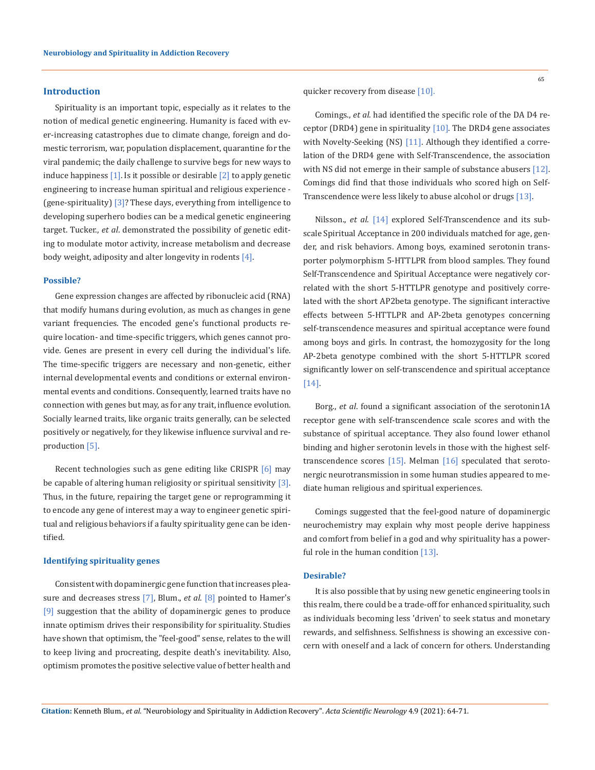# **Introduction**

Spirituality is an important topic, especially as it relates to the notion of medical genetic engineering. Humanity is faced with ever-increasing catastrophes due to climate change, foreign and domestic terrorism, war, population displacement, quarantine for the viral pandemic; the daily challenge to survive begs for new ways to induce happiness  $[1]$ . Is it possible or desirable  $[2]$  to apply genetic engineering to increase human spiritual and religious experience - (gene-spirituality) [3]?These days, everything from intelligence to developing superhero bodies can be a medical genetic engineering target. Tucker., *et al*. demonstrated the possibility of genetic editing to modulate motor activity, increase metabolism and decrease body weight, adiposity and alter longevity in rodents [4].

## **Possible?**

Gene expression changes are affected by ribonucleic acid (RNA) that modify humans during evolution, as much as changes in gene variant frequencies. The encoded gene's functional products require location- and time-specific triggers, which genes cannot provide. Genes are present in every cell during the individual's life. The time-specific triggers are necessary and non-genetic, either internal developmental events and conditions or external environmental events and conditions. Consequently, learned traits have no connection with genes but may, as for any trait, influence evolution. Socially learned traits, like organic traits generally, can be selected positively or negatively, for they likewise influence survival and reproduction [5].

Recent technologies such as gene editing like CRISPR [6] may be capable of altering human religiosity or spiritual sensitivity  $[3]$ . Thus, in the future, repairing the target gene or reprogramming it to encode any gene of interest may a way to engineer genetic spiritual and religious behaviors if a faulty spirituality gene can be identified.

## **Identifying spirituality genes**

Consistent with dopaminergic gene function that increases pleasure and decreases stress [7], Blum., *et al*. [8] pointed to Hamer's [9] suggestion that the ability of dopaminergic genes to produce innate optimism drives their responsibility for spirituality. Studies have shown that optimism, the "feel-good" sense, relates to the will to keep living and procreating, despite death's inevitability. Also, optimism promotes the positive selective value of better health and 65

quicker recovery from disease [10].

Comings., *et al*. had identified the specific role of the DA D4 receptor (DRD4) gene in spirituality [10]. The DRD4 gene associates with Novelty-Seeking (NS) [11]. Although they identified a correlation of the DRD4 gene with Self-Transcendence, the association with NS did not emerge in their sample of substance abusers [12]. Comings did find that those individuals who scored high on Self-Transcendence were less likely to abuse alcohol or drugs [13].

Nilsson., *et al*. [14] explored Self-Transcendence and its subscale Spiritual Acceptance in 200 individuals matched for age, gender, and risk behaviors. Among boys, examined serotonin transporter polymorphism 5-HTTLPR from blood samples. They found Self-Transcendence and Spiritual Acceptance were negatively correlated with the short 5-HTTLPR genotype and positively correlated with the short AP2beta genotype. The significant interactive effects between 5-HTTLPR and AP-2beta genotypes concerning self-transcendence measures and spiritual acceptance were found among boys and girls. In contrast, the homozygosity for the long AP-2beta genotype combined with the short 5-HTTLPR scored significantly lower on self-transcendence and spiritual acceptance [14].

Borg., *et al*. found a significant association of the serotonin1A receptor gene with self-transcendence scale scores and with the substance of spiritual acceptance. They also found lower ethanol binding and higher serotonin levels in those with the highest selftranscendence scores [15]. Melman [16] speculated that serotonergic neurotransmission in some human studies appeared to mediate human religious and spiritual experiences.

Comings suggested that the feel-good nature of dopaminergic neurochemistry may explain why most people derive happiness and comfort from belief in a god and why spirituality has a powerful role in the human condition [13].

# **Desirable?**

It is also possible that by using new genetic engineering tools in this realm, there could be a trade-off for enhanced spirituality, such as individuals becoming less 'driven' to seek status and monetary rewards, and selfishness. Selfishness is showing an excessive concern with oneself and a lack of concern for others. Understanding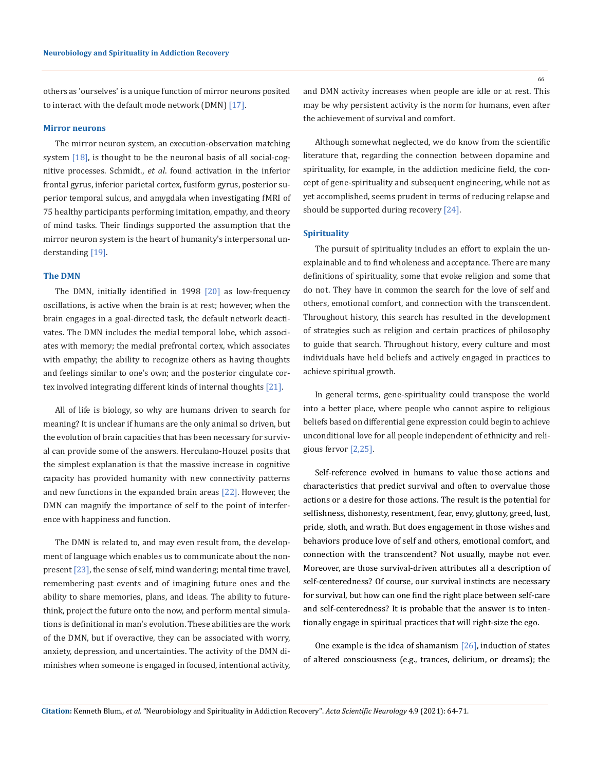others as 'ourselves' is a unique function of mirror neurons posited to interact with the default mode network (DMN) [17].

# **Mirror neurons**

The mirror neuron system, an execution-observation matching system [18], is thought to be the neuronal basis of all social-cognitive processes. Schmidt., *et al*. found activation in the inferior frontal gyrus, inferior parietal cortex, fusiform gyrus, posterior superior temporal sulcus, and amygdala when investigating fMRI of 75 healthy participants performing imitation, empathy, and theory of mind tasks. Their findings supported the assumption that the mirror neuron system is the heart of humanity's interpersonal understanding [19].

#### **The DMN**

The DMN, initially identified in 1998 [20] as low-frequency oscillations, is active when the brain is at rest; however, when the brain engages in a goal-directed task, the default network deactivates. The DMN includes the medial temporal lobe, which associates with memory; the medial prefrontal cortex, which associates with empathy; the ability to recognize others as having thoughts and feelings similar to one's own; and the posterior cingulate cortex involved integrating different kinds of internal thoughts [21].

All of life is biology, so why are humans driven to search for meaning? It is unclear if humans are the only animal so driven, but the evolution of brain capacities that has been necessary for survival can provide some of the answers. Herculano-Houzel posits that the simplest explanation is that the massive increase in cognitive capacity has provided humanity with new connectivity patterns and new functions in the expanded brain areas [22]. However, the DMN can magnify the importance of self to the point of interference with happiness and function.

The DMN is related to, and may even result from, the development of language which enables us to communicate about the nonpresent [23], the sense of self, mind wandering; mental time travel, remembering past events and of imagining future ones and the ability to share memories, plans, and ideas. The ability to futurethink, project the future onto the now, and perform mental simulations is definitional in man's evolution. These abilities are the work of the DMN, but if overactive, they can be associated with worry, anxiety, depression, and uncertainties. The activity of the DMN diminishes when someone is engaged in focused, intentional activity, and DMN activity increases when people are idle or at rest. This may be why persistent activity is the norm for humans, even after the achievement of survival and comfort.

Although somewhat neglected, we do know from the scientific literature that, regarding the connection between dopamine and spirituality, for example, in the addiction medicine field, the concept of gene-spirituality and subsequent engineering, while not as yet accomplished, seems prudent in terms of reducing relapse and should be supported during recovery [24].

## **Spirituality**

The pursuit of spirituality includes an effort to explain the unexplainable and to find wholeness and acceptance. There are many definitions of spirituality, some that evoke religion and some that do not. They have in common the search for the love of self and others, emotional comfort, and connection with the transcendent. Throughout history, this search has resulted in the development of strategies such as religion and certain practices of philosophy to guide that search. Throughout history, every culture and most individuals have held beliefs and actively engaged in practices to achieve spiritual growth.

In general terms, gene-spirituality could transpose the world into a better place, where people who cannot aspire to religious beliefs based on differential gene expression could begin to achieve unconditional love for all people independent of ethnicity and religious fervor [2,25].

Self-reference evolved in humans to value those actions and characteristics that predict survival and often to overvalue those actions or a desire for those actions. The result is the potential for selfishness, dishonesty, resentment, fear, envy, gluttony, greed, lust, pride, sloth, and wrath. But does engagement in those wishes and behaviors produce love of self and others, emotional comfort, and connection with the transcendent? Not usually, maybe not ever. Moreover, are those survival-driven attributes all a description of self-centeredness? Of course, our survival instincts are necessary for survival, but how can one find the right place between self-care and self-centeredness? It is probable that the answer is to intentionally engage in spiritual practices that will right-size the ego.

One example is the idea of shamanism  $[26]$ , induction of states of altered consciousness (e.g., trances, delirium, or dreams); the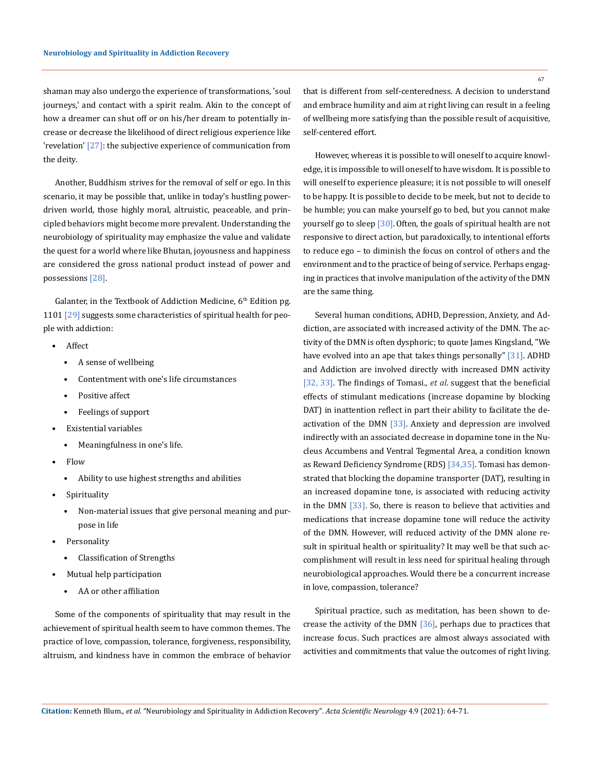shaman may also undergo the experience of transformations, 'soul journeys,' and contact with a spirit realm. Akin to the concept of how a dreamer can shut off or on his/her dream to potentially increase or decrease the likelihood of direct religious experience like 'revelation' [27]: the subjective experience of communication from the deity.

Another, Buddhism strives for the removal of self or ego. In this scenario, it may be possible that, unlike in today's hustling powerdriven world, those highly moral, altruistic, peaceable, and principled behaviors might become more prevalent. Understanding the neurobiology of spirituality may emphasize the value and validate the quest for a world where like Bhutan, joyousness and happiness are considered the gross national product instead of power and possessions [28].

Galanter, in the Textbook of Addiction Medicine,  $6<sup>th</sup>$  Edition pg. 1101 [29] suggests some characteristics of spiritual health for people with addiction:

- Affect
	- A sense of wellbeing
	- Contentment with one's life circumstances
	- Positive affect
	- Feelings of support
- Existential variables
	- Meaningfulness in one's life.
- Flow
	- Ability to use highest strengths and abilities
- Spirituality
	- Non-material issues that give personal meaning and purpose in life
- Personality
	- Classification of Strengths
- Mutual help participation
	- AA or other affiliation

Some of the components of spirituality that may result in the achievement of spiritual health seem to have common themes. The practice of love, compassion, tolerance, forgiveness, responsibility, altruism, and kindness have in common the embrace of behavior that is different from self-centeredness. A decision to understand and embrace humility and aim at right living can result in a feeling of wellbeing more satisfying than the possible result of acquisitive, self-centered effort.

However, whereas it is possible to will oneself to acquire knowledge, it is impossible to will oneself to have wisdom. It is possible to will oneself to experience pleasure; it is not possible to will oneself to be happy. It is possible to decide to be meek, but not to decide to be humble; you can make yourself go to bed, but you cannot make yourself go to sleep [30].Often, the goals of spiritual health are not responsive to direct action, but paradoxically, to intentional efforts to reduce ego – to diminish the focus on control of others and the environment and to the practice of being of service. Perhaps engaging in practices that involve manipulation of the activity of the DMN are the same thing.

Several human conditions, ADHD, Depression, Anxiety, and Addiction, are associated with increased activity of the DMN. The activity of the DMN is often dysphoric; to quote James Kingsland, "We have evolved into an ape that takes things personally" [31]. ADHD and Addiction are involved directly with increased DMN activity [32, 33]. The findings of Tomasi., *et al*. suggest that the beneficial effects of stimulant medications (increase dopamine by blocking DAT) in inattention reflect in part their ability to facilitate the deactivation of the DMN [33]. Anxiety and depression are involved indirectly with an associated decrease in dopamine tone in the Nucleus Accumbens and Ventral Tegmental Area, a condition known as Reward Deficiency Syndrome (RDS) [34,35]. Tomasi has demonstrated that blocking the dopamine transporter (DAT), resulting in an increased dopamine tone, is associated with reducing activity in the DMN [33]. So, there is reason to believe that activities and medications that increase dopamine tone will reduce the activity of the DMN. However, will reduced activity of the DMN alone result in spiritual health or spirituality? It may well be that such accomplishment will result in less need for spiritual healing through neurobiological approaches. Would there be a concurrent increase in love, compassion, tolerance?

Spiritual practice, such as meditation, has been shown to decrease the activity of the DMN [36], perhaps due to practices that increase focus. Such practices are almost always associated with activities and commitments that value the outcomes of right living.

67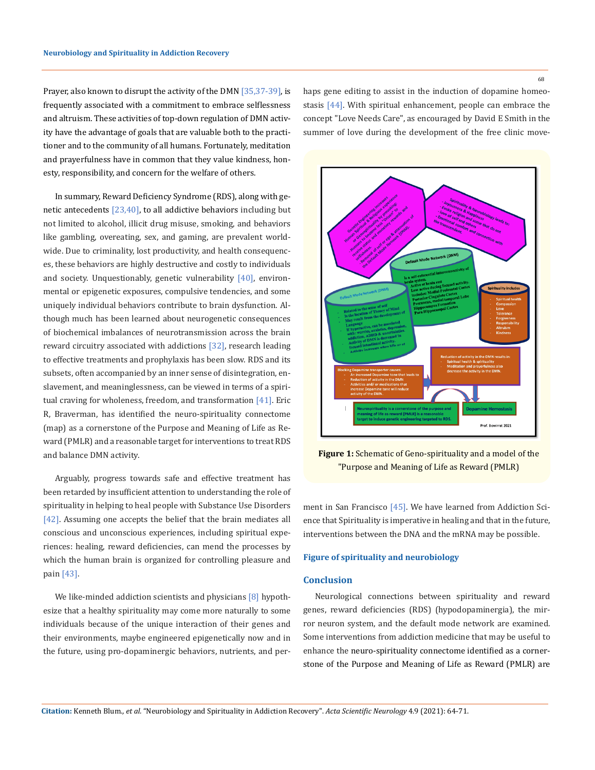Prayer, also known to disrupt the activity of the DMN [35,37-39], is frequently associated with a commitment to embrace selflessness and altruism. These activities of top-down regulation of DMN activity have the advantage of goals that are valuable both to the practitioner and to the community of all humans. Fortunately, meditation and prayerfulness have in common that they value kindness, honesty, responsibility, and concern for the welfare of others.

In summary, Reward Deficiency Syndrome (RDS), along with genetic antecedents [23,40], to all addictive behaviors including but not limited to alcohol, illicit drug misuse, smoking, and behaviors like gambling, overeating, sex, and gaming, are prevalent worldwide. Due to criminality, lost productivity, and health consequences, these behaviors are highly destructive and costly to individuals and society. Unquestionably, genetic vulnerability [40], environmental or epigenetic exposures, compulsive tendencies, and some uniquely individual behaviors contribute to brain dysfunction. Although much has been learned about neurogenetic consequences of biochemical imbalances of neurotransmission across the brain reward circuitry associated with addictions [32], research leading to effective treatments and prophylaxis has been slow. RDS and its subsets, often accompanied by an inner sense of disintegration, enslavement, and meaninglessness, can be viewed in terms of a spiritual craving for wholeness, freedom, and transformation [41]. Eric R, Braverman, has identified the neuro-spirituality connectome (map) as a cornerstone of the Purpose and Meaning of Life as Reward (PMLR) and a reasonable target for interventions to treat RDS and balance DMN activity.

Arguably, progress towards safe and effective treatment has been retarded by insufficient attention to understanding the role of spirituality in helping to heal people with Substance Use Disorders [42]. Assuming one accepts the belief that the brain mediates all conscious and unconscious experiences, including spiritual experiences: healing, reward deficiencies, can mend the processes by which the human brain is organized for controlling pleasure and pain [43].

We like-minded addiction scientists and physicians [8] hypothesize that a healthy spirituality may come more naturally to some individuals because of the unique interaction of their genes and their environments, maybe engineered epigenetically now and in the future, using pro-dopaminergic behaviors, nutrients, and perhaps gene editing to assist in the induction of dopamine homeostasis [44]. With spiritual enhancement, people can embrace the concept "Love Needs Care", as encouraged by David E Smith in the summer of love during the development of the free clinic move-



**Figure 1:** Schematic of Geno-spirituality and a model of the "Purpose and Meaning of Life as Reward (PMLR)

ment in San Francisco [45]. We have learned from Addiction Science that Spirituality is imperative in healing and that in the future, interventions between the DNA and the mRNA may be possible.

# **Figure of spirituality and neurobiology**

# **Conclusion**

Neurological connections between spirituality and reward genes, reward deficiencies (RDS) (hypodopaminergia), the mirror neuron system, and the default mode network are examined. Some interventions from addiction medicine that may be useful to enhance the neuro-spirituality connectome identified as a cornerstone of the Purpose and Meaning of Life as Reward (PMLR) are

**Citation:** Kenneth Blum*., et al.* "Neurobiology and Spirituality in Addiction Recovery". *Acta Scientific Neurology* 4.9 (2021): 64-71.

68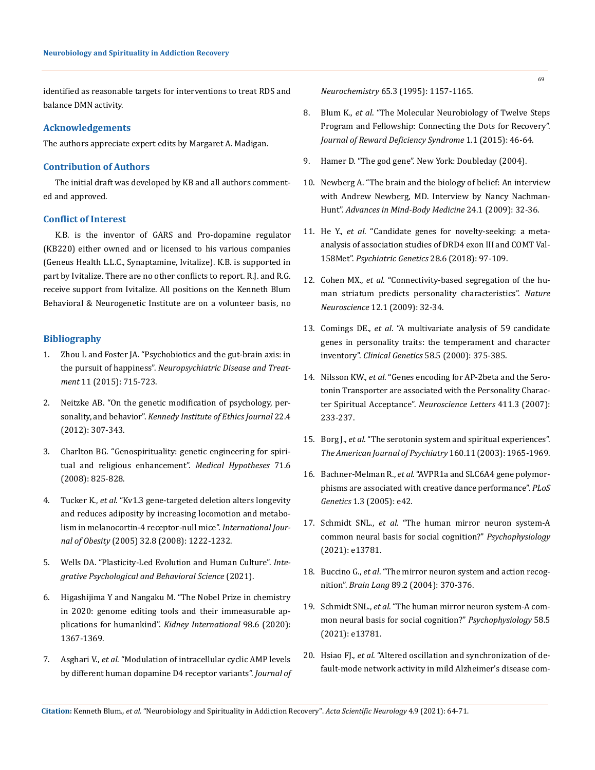identified as reasonable targets for interventions to treat RDS and balance DMN activity.

# **Acknowledgements**

The authors appreciate expert edits by Margaret A. Madigan.

# **Contribution of Authors**

The initial draft was developed by KB and all authors commented and approved.

# **Conflict of Interest**

K.B. is the inventor of GARS and Pro-dopamine regulator (KB220) either owned and or licensed to his various companies (Geneus Health L.L.C., Synaptamine, Ivitalize). K.B. is supported in part by Ivitalize. There are no other conflicts to report. R.J. and R.G. receive support from Ivitalize. All positions on the Kenneth Blum Behavioral & Neurogenetic Institute are on a volunteer basis, no

# **Bibliography**

- 1. [Zhou L and Foster JA. "Psychobiotics and the gut-brain axis: in](https://www.ncbi.nlm.nih.gov/pmc/articles/PMC4370913/)  the pursuit of happiness". *[Neuropsychiatric Disease and Treat](https://www.ncbi.nlm.nih.gov/pmc/articles/PMC4370913/)ment* [11 \(2015\): 715-723.](https://www.ncbi.nlm.nih.gov/pmc/articles/PMC4370913/)
- 2. [Neitzke AB. "On the genetic modification of psychology, per](https://pubmed.ncbi.nlm.nih.gov/23420940/)sonality, and behavior". *[Kennedy Institute of Ethics Journal](https://pubmed.ncbi.nlm.nih.gov/23420940/)* 22.4 [\(2012\): 307-343.](https://pubmed.ncbi.nlm.nih.gov/23420940/)
- 3. [Charlton BG. "Genospirituality: genetic engineering for spiri](https://pubmed.ncbi.nlm.nih.gov/18782654/)[tual and religious enhancement".](https://pubmed.ncbi.nlm.nih.gov/18782654/) *Medical Hypotheses* 71.6 [\(2008\): 825-828.](https://pubmed.ncbi.nlm.nih.gov/18782654/)
- 4. Tucker K., *et al*[. "Kv1.3 gene-targeted deletion alters longevity](https://pubmed.ncbi.nlm.nih.gov/18542083/)  [and reduces adiposity by increasing locomotion and metabo](https://pubmed.ncbi.nlm.nih.gov/18542083/)[lism in melanocortin-4 receptor-null mice".](https://pubmed.ncbi.nlm.nih.gov/18542083/) *International Journal of Obesity* [\(2005\) 32.8 \(2008\): 1222-1232.](https://pubmed.ncbi.nlm.nih.gov/18542083/)
- 5. [Wells DA. "Plasticity-Led Evolution and Human Culture".](https://pubmed.ncbi.nlm.nih.gov/33818713/) *Inte[grative Psychological and Behavioral Science](https://pubmed.ncbi.nlm.nih.gov/33818713/)* (2021).
- 6. [Higashijima Y and Nangaku M. "The Nobel Prize in chemistry](https://www.kidney-international.org/article/S0085-2538(20)31207-2/fulltext)  [in 2020: genome editing tools and their immeasurable ap](https://www.kidney-international.org/article/S0085-2538(20)31207-2/fulltext)[plications for humankind".](https://www.kidney-international.org/article/S0085-2538(20)31207-2/fulltext) *Kidney International* 98.6 (2020): [1367-1369.](https://www.kidney-international.org/article/S0085-2538(20)31207-2/fulltext)
- 7. Asghari V., *et al*[. "Modulation of intracellular cyclic AMP levels](https://pubmed.ncbi.nlm.nih.gov/7643093/)  [by different human dopamine D4 receptor variants".](https://pubmed.ncbi.nlm.nih.gov/7643093/) *Journal of*

*Neurochemistry* [65.3 \(1995\): 1157-1165.](https://pubmed.ncbi.nlm.nih.gov/7643093/)

- 8. Blum K., *et al*[. "The Molecular Neurobiology of Twelve Steps](https://pubmed.ncbi.nlm.nih.gov/26306329/)  [Program and Fellowship: Connecting the Dots for Recovery".](https://pubmed.ncbi.nlm.nih.gov/26306329/)  *[Journal of Reward Deficiency Syndrome](https://pubmed.ncbi.nlm.nih.gov/26306329/)* 1.1 (2015): 46-64.
- 9. Hamer D. "The god gene". New York: Doubleday (2004).
- 10. [Newberg A. "The brain and the biology of belief: An interview](https://www.researchgate.net/publication/45424067_The_brain_and_the_biology_of_belief_An_interview_with_Andrew_Newberg_MD_Interview_by_Nancy_Nachman-Hunt)  [with Andrew Newberg, MD. Interview by Nancy Nachman-](https://www.researchgate.net/publication/45424067_The_brain_and_the_biology_of_belief_An_interview_with_Andrew_Newberg_MD_Interview_by_Nancy_Nachman-Hunt)Hunt". *[Advances in Mind-Body Medicine](https://www.researchgate.net/publication/45424067_The_brain_and_the_biology_of_belief_An_interview_with_Andrew_Newberg_MD_Interview_by_Nancy_Nachman-Hunt)* 24.1 (2009): 32-36.
- 11. He Y., *et al*[. "Candidate genes for novelty-seeking: a meta](https://journals.lww.com/psychgenetics/Abstract/2018/12000/Candidate_genes_for_novelty_seeking__a.1.aspx)[analysis of association studies of DRD4 exon III and COMT Val](https://journals.lww.com/psychgenetics/Abstract/2018/12000/Candidate_genes_for_novelty_seeking__a.1.aspx)-158Met". *[Psychiatric Genetics](https://journals.lww.com/psychgenetics/Abstract/2018/12000/Candidate_genes_for_novelty_seeking__a.1.aspx)* 28.6 (2018): 97-109.
- 12. Cohen MX., *et al*[. "Connectivity-based segregation of the hu](https://pubmed.ncbi.nlm.nih.gov/19029888/)[man striatum predicts personality characteristics".](https://pubmed.ncbi.nlm.nih.gov/19029888/) *Nature Neuroscience* [12.1 \(2009\): 32-34.](https://pubmed.ncbi.nlm.nih.gov/19029888/)
- 13. Comings DE., *et al*[. "A multivariate analysis of 59 candidate](https://pubmed.ncbi.nlm.nih.gov/11140838/)  [genes in personality traits: the temperament and character](https://pubmed.ncbi.nlm.nih.gov/11140838/)  inventory". *Clinical Genetics* [58.5 \(2000\): 375-385.](https://pubmed.ncbi.nlm.nih.gov/11140838/)
- 14. Nilsson KW., *et al*[. "Genes encoding for AP-2beta and the Sero](https://pubmed.ncbi.nlm.nih.gov/17123722/)[tonin Transporter are associated with the Personality Charac](https://pubmed.ncbi.nlm.nih.gov/17123722/)ter Spiritual Acceptance". *[Neuroscience Letters](https://pubmed.ncbi.nlm.nih.gov/17123722/)* 411.3 (2007): [233-237.](https://pubmed.ncbi.nlm.nih.gov/17123722/)
- 15. Borg J., *et al*[. "The serotonin system and spiritual experiences".](https://pubmed.ncbi.nlm.nih.gov/14594742/)  *The [American Journal of Psychiatry](https://pubmed.ncbi.nlm.nih.gov/14594742/)* 160.11 (2003): 1965-1969.
- 16. Bachner-Melman R., *et al*[. "AVPR1a and SLC6A4 gene polymor](https://journals.plos.org/plosgenetics/article?id=10.1371/journal.pgen.0010042)[phisms are associated with creative dance performance".](https://journals.plos.org/plosgenetics/article?id=10.1371/journal.pgen.0010042) *PLoS Genetics* [1.3 \(2005\): e42.](https://journals.plos.org/plosgenetics/article?id=10.1371/journal.pgen.0010042)
- 17. Schmidt SNL., *et al*[. "The human mirror neuron system-A](https://pubmed.ncbi.nlm.nih.gov/33576063/)  [common neural basis for social cognition?"](https://pubmed.ncbi.nlm.nih.gov/33576063/) *Psychophysiology* [\(2021\): e13781.](https://pubmed.ncbi.nlm.nih.gov/33576063/)
- 18. Buccino G., *et al*[. "The mirror neuron system and action recog](https://pubmed.ncbi.nlm.nih.gov/15068920/)nition". *Brain Lang* [89.2 \(2004\): 370-376.](https://pubmed.ncbi.nlm.nih.gov/15068920/)
- 19. Schmidt SNL., *et al*[. "The human mirror neuron system-A com](https://pubmed.ncbi.nlm.nih.gov/33576063/)[mon neural basis for social cognition?"](https://pubmed.ncbi.nlm.nih.gov/33576063/) *Psychophysiology* 58.5 [\(2021\): e13781.](https://pubmed.ncbi.nlm.nih.gov/33576063/)
- 20. Hsiao FJ., *et al*[. "Altered oscillation and synchronization of de](https://pubmed.ncbi.nlm.nih.gov/23874766/)[fault-mode network activity in mild Alzheimer's disease com-](https://pubmed.ncbi.nlm.nih.gov/23874766/)

**Citation:** Kenneth Blum*., et al.* "Neurobiology and Spirituality in Addiction Recovery". *Acta Scientific Neurology* 4.9 (2021): 64-71.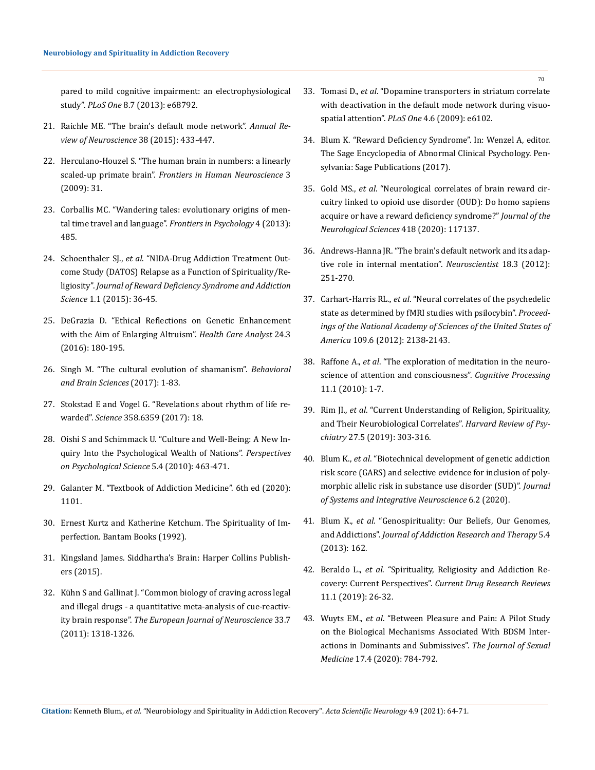[pared to mild cognitive impairment: an electrophysiological](https://pubmed.ncbi.nlm.nih.gov/23874766/)  study". *PLoS One* [8.7 \(2013\): e68792.](https://pubmed.ncbi.nlm.nih.gov/23874766/)

- 21. [Raichle ME. "The brain's default mode network".](https://pubmed.ncbi.nlm.nih.gov/25938726/) *Annual Re[view of Neuroscience](https://pubmed.ncbi.nlm.nih.gov/25938726/)* 38 (2015): 433-447.
- 22. [Herculano-Houzel S. "The human brain in numbers: a linearly](https://www.frontiersin.org/articles/10.3389/neuro.09.031.2009/full)  scaled-up primate brain". *[Frontiers in Human Neuroscience](https://www.frontiersin.org/articles/10.3389/neuro.09.031.2009/full)* 3 [\(2009\): 31.](https://www.frontiersin.org/articles/10.3389/neuro.09.031.2009/full)
- 23. [Corballis MC. "Wandering tales: evolutionary origins of men](https://www.frontiersin.org/articles/10.3389/fpsyg.2013.00485/full)[tal time travel and language".](https://www.frontiersin.org/articles/10.3389/fpsyg.2013.00485/full) *Frontiers in Psychology* 4 (2013): [485.](https://www.frontiersin.org/articles/10.3389/fpsyg.2013.00485/full)
- 24. Schoenthaler SJ., *et al*[. "NIDA-Drug Addiction Treatment Out](https://www.ncbi.nlm.nih.gov/pmc/articles/PMC4455957/)[come Study \(DATOS\) Relapse as a Function of Spirituality/Re](https://www.ncbi.nlm.nih.gov/pmc/articles/PMC4455957/)ligiosity". *[Journal of Reward Deficiency Syndrome and Addiction](https://www.ncbi.nlm.nih.gov/pmc/articles/PMC4455957/)  Science* [1.1 \(2015\): 36-45.](https://www.ncbi.nlm.nih.gov/pmc/articles/PMC4455957/)
- 25. [DeGrazia D. "Ethical Reflections on Genetic Enhancement](https://pubmed.ncbi.nlm.nih.gov/26246070/)  [with the Aim of Enlarging Altruism".](https://pubmed.ncbi.nlm.nih.gov/26246070/) *Health Care Analyst* 24.3 [\(2016\): 180-195.](https://pubmed.ncbi.nlm.nih.gov/26246070/)
- 26. [Singh M. "The cultural evolution of shamanism".](https://pubmed.ncbi.nlm.nih.gov/28679454/) *Behavioral [and Brain Sciences](https://pubmed.ncbi.nlm.nih.gov/28679454/)* (2017): 1-83.
- 27. [Stokstad E and Vogel G. "Revelations about rhythm of life re](https://science.sciencemag.org/content/358/6359/18)warded". *Science* [358.6359 \(2017\): 18.](https://science.sciencemag.org/content/358/6359/18)
- 28. [Oishi S and Schimmack U. "Culture and Well-Being: A New In](https://journals.sagepub.com/doi/abs/10.1177/1745691610375561)[quiry Into the Psychological Wealth of Nations".](https://journals.sagepub.com/doi/abs/10.1177/1745691610375561) *Perspectives [on Psychological Science](https://journals.sagepub.com/doi/abs/10.1177/1745691610375561)* 5.4 (2010): 463-471.
- 29. Galanter M. "Textbook of Addiction Medicine". 6th ed (2020): 1101.
- 30. Ernest Kurtz and Katherine Ketchum. The Spirituality of Imperfection. Bantam Books (1992).
- 31. Kingsland James. Siddhartha's Brain: Harper Collins Publishers (2015).
- 32. [Kühn S and Gallinat J. "Common biology of craving across legal](https://www.researchgate.net/publication/49780573_Common_biology_of_craving_across_legal_and_illegal_drugs-A_quantitative_meta-analysis_of_cue-reactivity_brain_response)  [and illegal drugs - a quantitative meta-analysis of cue-reactiv](https://www.researchgate.net/publication/49780573_Common_biology_of_craving_across_legal_and_illegal_drugs-A_quantitative_meta-analysis_of_cue-reactivity_brain_response)ity brain response". *[The European Journal of Neuroscience](https://www.researchgate.net/publication/49780573_Common_biology_of_craving_across_legal_and_illegal_drugs-A_quantitative_meta-analysis_of_cue-reactivity_brain_response)* 33.7 [\(2011\): 1318-1326.](https://www.researchgate.net/publication/49780573_Common_biology_of_craving_across_legal_and_illegal_drugs-A_quantitative_meta-analysis_of_cue-reactivity_brain_response)
- 33. Tomasi D., *et al*[. "Dopamine transporters in striatum correlate](https://journals.plos.org/plosone/article?id=10.1371/journal.pone.0006102)  [with deactivation in the default mode network during visuo](https://journals.plos.org/plosone/article?id=10.1371/journal.pone.0006102)spatial attention". *PLoS One* [4.6 \(2009\): e6102.](https://journals.plos.org/plosone/article?id=10.1371/journal.pone.0006102)
- 34. Blum K. "Reward Deficiency Syndrome". In: Wenzel A, editor. The Sage Encyclopedia of Abnormal Clinical Psychology. Pensylvania: Sage Publications (2017).
- 35. Gold MS., *et al*. "Neurological correlates of brain reward circuitry linked to opioid use disorder (OUD): Do homo sapiens acquire or have a reward deficiency syndrome?" *Journal of the Neurological Sciences* 418 (2020): 117137.
- 36. [Andrews-Hanna JR. "The brain's default network and its adap](https://www.ncbi.nlm.nih.gov/pmc/articles/PMC3553600/)[tive role in internal mentation".](https://www.ncbi.nlm.nih.gov/pmc/articles/PMC3553600/) *Neuroscientist* 18.3 (2012): [251-270.](https://www.ncbi.nlm.nih.gov/pmc/articles/PMC3553600/)
- 37. Carhart-Harris RL., *et al*[. "Neural correlates of the psychedelic](https://www.researchgate.net/publication/221808942_Neural_Correlates_of_the_Entheogen_State_as_Determined_by_fMRI_Studies_with_Psilocybin)  [state as determined by fMRI studies with psilocybin".](https://www.researchgate.net/publication/221808942_Neural_Correlates_of_the_Entheogen_State_as_Determined_by_fMRI_Studies_with_Psilocybin) *Proceed[ings of the National Academy of Sciences of the United States of](https://www.researchgate.net/publication/221808942_Neural_Correlates_of_the_Entheogen_State_as_Determined_by_fMRI_Studies_with_Psilocybin)  America* [109.6 \(2012\): 2138-2143.](https://www.researchgate.net/publication/221808942_Neural_Correlates_of_the_Entheogen_State_as_Determined_by_fMRI_Studies_with_Psilocybin)
- 38. Raffone A., *et al*[. "The exploration of meditation in the neuro](https://pubmed.ncbi.nlm.nih.gov/20041276/)[science of attention and consciousness".](https://pubmed.ncbi.nlm.nih.gov/20041276/) *Cognitive Processing* [11.1 \(2010\): 1-7.](https://pubmed.ncbi.nlm.nih.gov/20041276/)
- 39. Rim JI., *et al*[. "Current Understanding of Religion, Spirituality,](https://www.ncbi.nlm.nih.gov/pmc/articles/PMC7195862/)  [and Their Neurobiological Correlates".](https://www.ncbi.nlm.nih.gov/pmc/articles/PMC7195862/) *Harvard Review of Psychiatry* [27.5 \(2019\): 303-316.](https://www.ncbi.nlm.nih.gov/pmc/articles/PMC7195862/)
- 40. Blum K., *et al*[. "Biotechnical development of genetic addiction](https://pubmed.ncbi.nlm.nih.gov/33614164/)  [risk score \(GARS\) and selective evidence for inclusion of poly](https://pubmed.ncbi.nlm.nih.gov/33614164/)[morphic allelic risk in substance use disorder \(SUD\)".](https://pubmed.ncbi.nlm.nih.gov/33614164/) *Journal [of Systems and Integrative Neuroscience](https://pubmed.ncbi.nlm.nih.gov/33614164/)* 6.2 (2020).
- 41. Blum K., *et al*[. "Genospirituality: Our Beliefs, Our Genomes,](https://www.ncbi.nlm.nih.gov/pmc/articles/PMC4068016/)  and Addictions". *[Journal of Addiction Research and Therapy](https://www.ncbi.nlm.nih.gov/pmc/articles/PMC4068016/)* 5.4 [\(2013\): 162.](https://www.ncbi.nlm.nih.gov/pmc/articles/PMC4068016/)
- 42. Beraldo L., *et al*[. "Spirituality, Religiosity and Addiction Re](https://pubmed.ncbi.nlm.nih.gov/29895258/)covery: Current Perspectives". *[Current Drug Research Reviews](https://pubmed.ncbi.nlm.nih.gov/29895258/)* [11.1 \(2019\): 26-32.](https://pubmed.ncbi.nlm.nih.gov/29895258/)
- 43. Wuyts EM., *et al*[. "Between Pleasure and Pain: A Pilot Study](https://pubmed.ncbi.nlm.nih.gov/32044259/)  [on the Biological Mechanisms Associated With BDSM Inter](https://pubmed.ncbi.nlm.nih.gov/32044259/)[actions in Dominants and Submissives".](https://pubmed.ncbi.nlm.nih.gov/32044259/) *The Journal of Sexual Medicine* [17.4 \(2020\): 784-792.](https://pubmed.ncbi.nlm.nih.gov/32044259/)

70